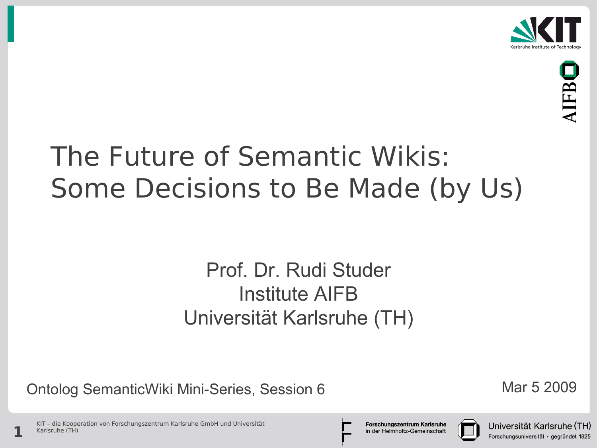



### The Future of Semantic Wikis: Some Decisions to Be Made (by Us)

#### Prof. Dr. Rudi Studer Institute AIFB Universität Karlsruhe (TH)

Ontolog SemanticWiki Mini-Series, Session 6 Mar 5 2009

KIT – die Kooperation von Forschungszentrum Karlsruhe GmbH und Universität **1** Karlsruhe (TH)

Forschungszentrum Karlsruhe in der Helmholtz-Gemeinschaft



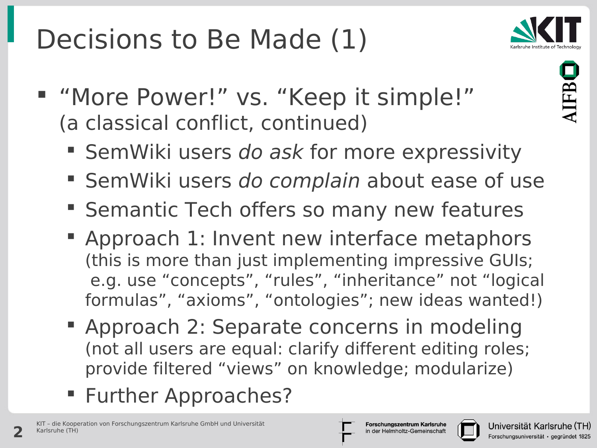## Decisions to Be Made (1)



- "More Power!" vs. "Keep it simple!" (a classical conflict, continued)
	- SemWiki users do ask for more expressivity
	- SemWiki users do complain about ease of use
	- **Semantic Tech offers so many new features**
	- **Approach 1: Invent new interface metaphors** (this is more than just implementing impressive GUIs; e.g. use "concepts", "rules", "inheritance" not "logical formulas", "axioms", "ontologies"; new ideas wanted!)
	- Approach 2: Separate concerns in modeling (not all users are equal: clarify different editing roles; provide filtered "views" on knowledge; modularize)
	- **Further Approaches?**

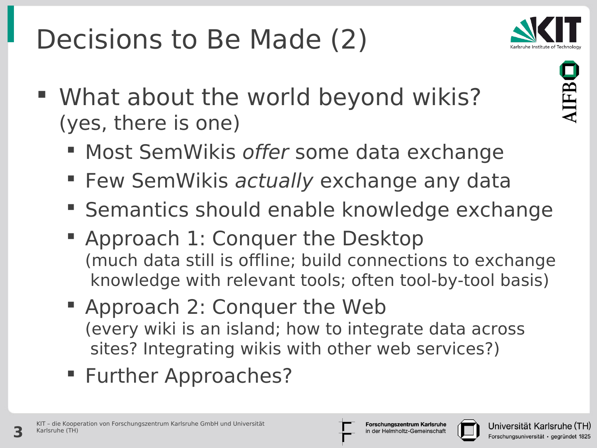# Decisions to Be Made (2)



 What about the world beyond wikis? (yes, there is one)



- **Most SemWikis offer some data exchange**
- **Few SemWikis actually exchange any data**
- **Semantics should enable knowledge exchange**
- Approach 1: Conquer the Desktop (much data still is offline; build connections to exchange knowledge with relevant tools; often tool-by-tool basis)
- Approach 2: Conquer the Web (every wiki is an island; how to integrate data across sites? Integrating wikis with other web services?)
- **Further Approaches?**